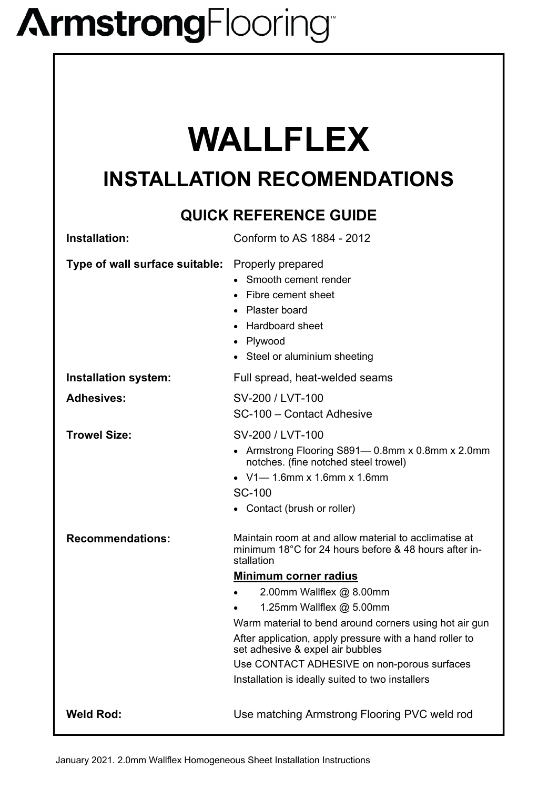## **ArmstrongFlooring**

## **WALLFLEX**

## **INSTALLATION RECOMENDATIONS**

### **QUICK REFERENCE GUIDE**

| Installation:                  | Conform to AS 1884 - 2012                                                                                                                                                                                                                                                                                                                                                                                                                                                            |
|--------------------------------|--------------------------------------------------------------------------------------------------------------------------------------------------------------------------------------------------------------------------------------------------------------------------------------------------------------------------------------------------------------------------------------------------------------------------------------------------------------------------------------|
| Type of wall surface suitable: | Properly prepared<br>• Smooth cement render<br>Fibre cement sheet<br>• Plaster board<br>• Hardboard sheet<br>Plywood<br>• Steel or aluminium sheeting                                                                                                                                                                                                                                                                                                                                |
| Installation system:           | Full spread, heat-welded seams                                                                                                                                                                                                                                                                                                                                                                                                                                                       |
| <b>Adhesives:</b>              | SV-200 / LVT-100<br>SC-100 - Contact Adhesive                                                                                                                                                                                                                                                                                                                                                                                                                                        |
| <b>Trowel Size:</b>            | SV-200 / LVT-100<br>• Armstrong Flooring S891— 0.8mm x 0.8mm x 2.0mm<br>notches. (fine notched steel trowel)<br>• $V1 - 1.6$ mm x 1.6mm x 1.6mm<br><b>SC-100</b><br>• Contact (brush or roller)                                                                                                                                                                                                                                                                                      |
| <b>Recommendations:</b>        | Maintain room at and allow material to acclimatise at<br>minimum 18°C for 24 hours before & 48 hours after in-<br>stallation<br><u>Minimum corner radius</u><br>2.00mm Wallflex $@$ 8.00mm<br>1.25mm Wallflex $@$ 5.00mm<br>Warm material to bend around corners using hot air gun<br>After application, apply pressure with a hand roller to<br>set adhesive & expel air bubbles<br>Use CONTACT ADHESIVE on non-porous surfaces<br>Installation is ideally suited to two installers |
| <b>Weld Rod:</b>               | Use matching Armstrong Flooring PVC weld rod                                                                                                                                                                                                                                                                                                                                                                                                                                         |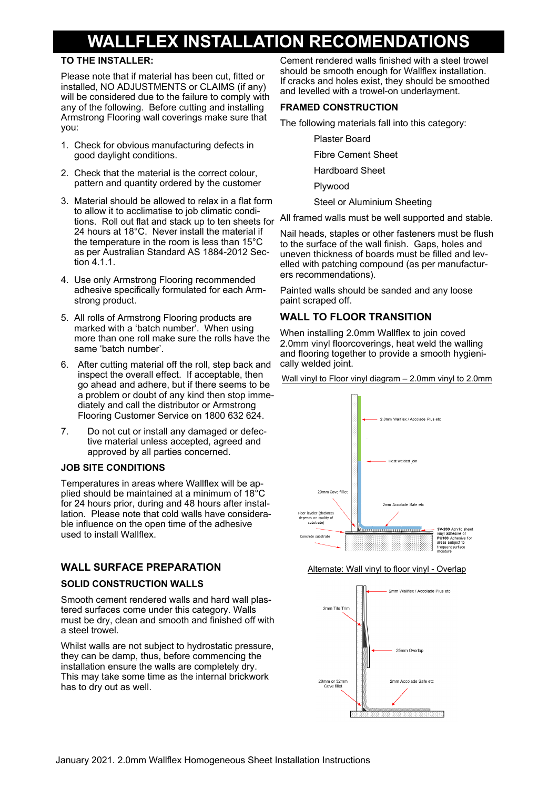### **WALLFLEX INSTALLATION RECOMENDATIONS**

#### **TO THE INSTALLER:**

Please note that if material has been cut, fitted or installed, NO ADJUSTMENTS or CLAIMS (if any) will be considered due to the failure to comply with any of the following. Before cutting and installing Armstrong Flooring wall coverings make sure that you:

- 1. Check for obvious manufacturing defects in good daylight conditions.
- 2. Check that the material is the correct colour, pattern and quantity ordered by the customer
- 3. Material should be allowed to relax in a flat form to allow it to acclimatise to job climatic conditions. Roll out flat and stack up to ten sheets for 24 hours at 18°C. Never install the material if the temperature in the room is less than 15°C as per Australian Standard AS 1884-2012 Section 4.1.1.
- 4. Use only Armstrong Flooring recommended adhesive specifically formulated for each Armstrong product.
- 5. All rolls of Armstrong Flooring products are marked with a 'batch number'. When using more than one roll make sure the rolls have the same 'batch number'.
- 6. After cutting material off the roll, step back and inspect the overall effect. If acceptable, then go ahead and adhere, but if there seems to be a problem or doubt of any kind then stop immediately and call the distributor or Armstrong Flooring Customer Service on 1800 632 624.
- 7. Do not cut or install any damaged or defective material unless accepted, agreed and approved by all parties concerned.

#### **JOB SITE CONDITIONS**

Temperatures in areas where Wallflex will be applied should be maintained at a minimum of 18°C for 24 hours prior, during and 48 hours after installation. Please note that cold walls have considerable influence on the open time of the adhesive used to install Wallflex.

#### **WALL SURFACE PREPARATION**

#### **SOLID CONSTRUCTION WALLS**

Smooth cement rendered walls and hard wall plastered surfaces come under this category. Walls must be dry, clean and smooth and finished off with a steel trowel.

Whilst walls are not subject to hydrostatic pressure, they can be damp, thus, before commencing the installation ensure the walls are completely dry. This may take some time as the internal brickwork has to dry out as well.

Cement rendered walls finished with a steel trowel should be smooth enough for Wallflex installation. If cracks and holes exist, they should be smoothed and levelled with a trowel-on underlayment.

#### **FRAMED CONSTRUCTION**

The following materials fall into this category:

Plaster Board

Fibre Cement Sheet

Hardboard Sheet

Plywood

Steel or Aluminium Sheeting

All framed walls must be well supported and stable.

Nail heads, staples or other fasteners must be flush to the surface of the wall finish. Gaps, holes and uneven thickness of boards must be filled and levelled with patching compound (as per manufacturers recommendations).

Painted walls should be sanded and any loose paint scraped off.

#### **WALL TO FLOOR TRANSITION**

When installing 2.0mm Wallflex to join coved 2.0mm vinyl floorcoverings, heat weld the walling and flooring together to provide a smooth hygienically welded joint.

Wall vinyl to Floor vinyl diagram – 2.0mm vinyl to 2.0mm



#### Alternate: Wall vinyl to floor vinyl - Overlap

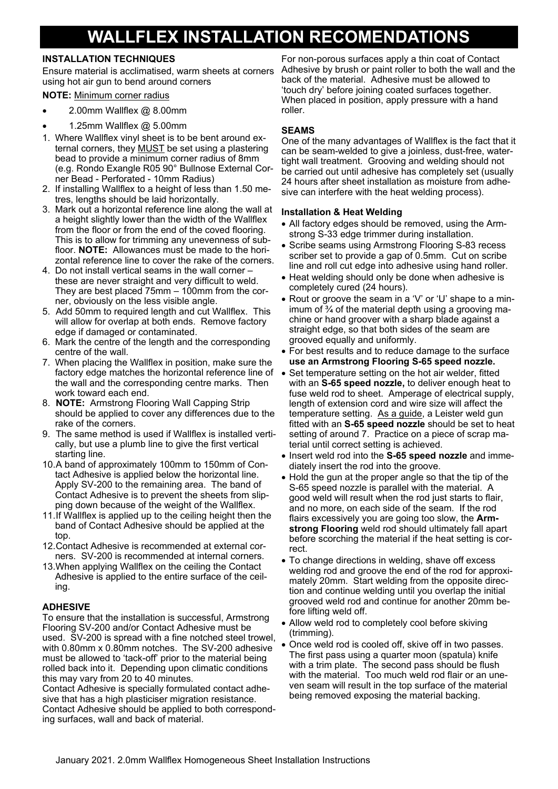## **WALLFLEX INSTALLATION RECOMENDATIONS**

#### **INSTALLATION TECHNIQUES**

Ensure material is acclimatised, warm sheets at corners using hot air gun to bend around corners

#### **NOTE:** Minimum corner radius

- 2.00mm Wallflex @ 8.00mm
- 1.25mm Wallflex @ 5.00mm
- 1. Where Wallflex vinyl sheet is to be bent around external corners, they MUST be set using a plastering bead to provide a minimum corner radius of 8mm (e.g. Rondo Exangle R05 90° Bullnose External Corner Bead - Perforated - 10mm Radius)
- 2. If installing Wallflex to a height of less than 1.50 metres, lengths should be laid horizontally.
- 3. Mark out a horizontal reference line along the wall at a height slightly lower than the width of the Wallflex from the floor or from the end of the coved flooring. This is to allow for trimming any unevenness of subfloor. **NOTE:** Allowances must be made to the horizontal reference line to cover the rake of the corners.
- 4. Do not install vertical seams in the wall corner these are never straight and very difficult to weld. They are best placed 75mm – 100mm from the corner, obviously on the less visible angle.
- 5. Add 50mm to required length and cut Wallflex. This will allow for overlap at both ends. Remove factory edge if damaged or contaminated.
- 6. Mark the centre of the length and the corresponding centre of the wall.
- 7. When placing the Wallflex in position, make sure the factory edge matches the horizontal reference line of the wall and the corresponding centre marks. Then work toward each end.
- 8. **NOTE:** Armstrong Flooring Wall Capping Strip should be applied to cover any differences due to the rake of the corners.
- 9. The same method is used if Wallflex is installed vertically, but use a plumb line to give the first vertical starting line.
- 10. A band of approximately 100mm to 150mm of Contact Adhesive is applied below the horizontal line. Apply SV-200 to the remaining area. The band of Contact Adhesive is to prevent the sheets from slipping down because of the weight of the Wallflex.
- 11. If Wallflex is applied up to the ceiling height then the band of Contact Adhesive should be applied at the top.
- 12. Contact Adhesive is recommended at external corners. SV-200 is recommended at internal corners.
- 13.When applying Wallflex on the ceiling the Contact Adhesive is applied to the entire surface of the ceiling.

#### **ADHESIVE**

To ensure that the installation is successful, Armstrong Flooring SV-200 and/or Contact Adhesive must be used. SV-200 is spread with a fine notched steel trowel, with 0.80mm x 0.80mm notches. The SV-200 adhesive must be allowed to 'tack-off' prior to the material being rolled back into it. Depending upon climatic conditions this may vary from 20 to 40 minutes.

Contact Adhesive is specially formulated contact adhesive that has a high plasticiser migration resistance. Contact Adhesive should be applied to both corresponding surfaces, wall and back of material.

For non-porous surfaces apply a thin coat of Contact Adhesive by brush or paint roller to both the wall and the back of the material. Adhesive must be allowed to 'touch dry' before joining coated surfaces together. When placed in position, apply pressure with a hand roller.

#### **SEAMS**

One of the many advantages of Wallflex is the fact that it can be seam-welded to give a joinless, dust-free, watertight wall treatment. Grooving and welding should not be carried out until adhesive has completely set (usually 24 hours after sheet installation as moisture from adhesive can interfere with the heat welding process).

#### **Installation & Heat Welding**

- All factory edges should be removed, using the Armstrong S-33 edge trimmer during installation.
- Scribe seams using Armstrong Flooring S-83 recess scriber set to provide a gap of 0.5mm. Cut on scribe line and roll cut edge into adhesive using hand roller.
- Heat welding should only be done when adhesive is completely cured (24 hours).
- Rout or groove the seam in a 'V' or 'U' shape to a minimum of  $\frac{3}{4}$  of the material depth using a grooving machine or hand groover with a sharp blade against a straight edge, so that both sides of the seam are grooved equally and uniformly.
- For best results and to reduce damage to the surface **use an Armstrong Flooring S-65 speed nozzle.**
- Set temperature setting on the hot air welder, fitted with an **S-65 speed nozzle,** to deliver enough heat to fuse weld rod to sheet. Amperage of electrical supply, length of extension cord and wire size will affect the temperature setting. As a guide, a Leister weld gun fitted with an **S-65 speed nozzle** should be set to heat setting of around 7. Practice on a piece of scrap material until correct setting is achieved.
- Insert weld rod into the S-65 speed nozzle and immediately insert the rod into the groove.
- Hold the gun at the proper angle so that the tip of the S-65 speed nozzle is parallel with the material. A good weld will result when the rod just starts to flair, and no more, on each side of the seam. If the rod flairs excessively you are going too slow, the **Armstrong Flooring** weld rod should ultimately fall apart before scorching the material if the heat setting is correct.
- To change directions in welding, shave off excess welding rod and groove the end of the rod for approximately 20mm. Start welding from the opposite direction and continue welding until you overlap the initial grooved weld rod and continue for another 20mm before lifting weld off.
- Allow weld rod to completely cool before skiving (trimming).
- Once weld rod is cooled off, skive off in two passes. The first pass using a quarter moon (spatula) knife with a trim plate. The second pass should be flush with the material. Too much weld rod flair or an uneven seam will result in the top surface of the material being removed exposing the material backing.